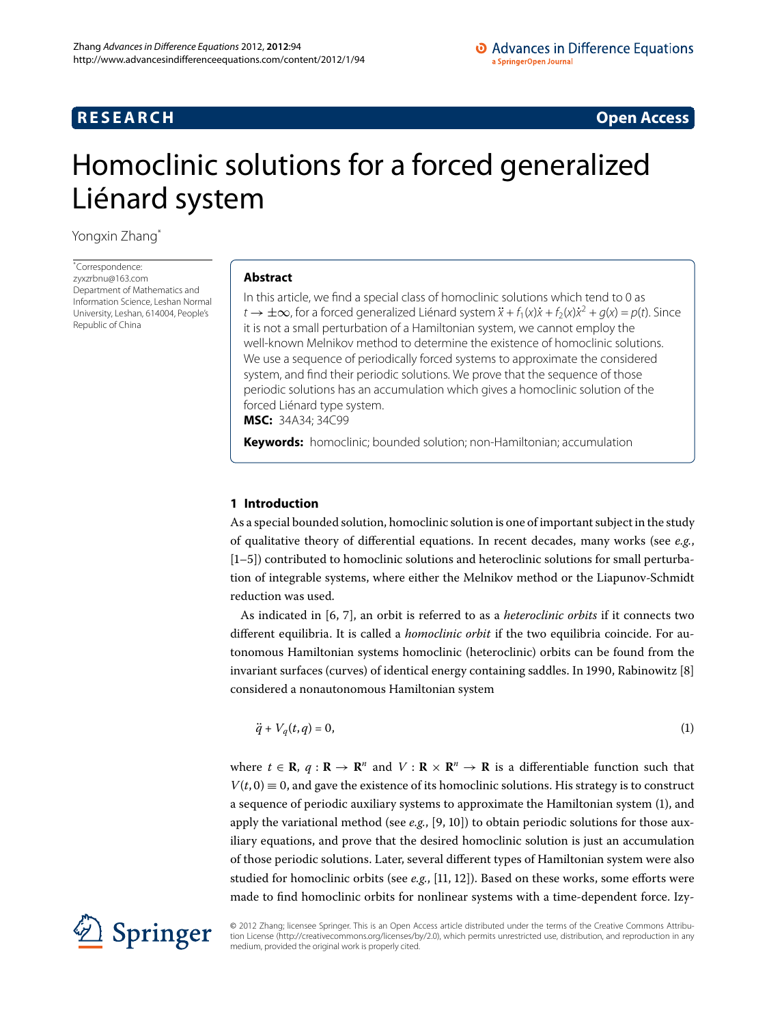# **RESEARCH RESEARCH** *RESEARCH*

# <span id="page-0-0"></span>Homoclinic solutions for a forced generalized Liénard system

Yongxin Zhan[g\\*](#page-0-0)

\* Correspondence: [zyxzrbnu@163.com](mailto:zyxzrbnu@163.com) Department of Mathematics and Information Science, Leshan Normal University, Leshan, 614004, People's Republic of China

# **Abstract**

In this article, we find a special class of homoclinic solutions which tend to 0 as  $t \to \pm \infty$ , for a forced generalized Liénard system  $\ddot{x} + f_1(x)\dot{x} + f_2(x)\dot{x}^2 + q(x) = p(t)$ . Since it is not a small perturbation of a Hamiltonian system, we cannot employ the well-known Melnikov method to determine the existence of homoclinic solutions. We use a sequence of periodically forced systems to approximate the considered system, and find their periodic solutions. We prove that the sequence of those periodic solutions has an accumulation which gives a homoclinic solution of the forced Liénard type system. **MSC:** 34A34; 34C99

**Keywords:** homoclinic; bounded solution; non-Hamiltonian; accumulation

# **1 Introduction**

As a special bounded solution, homoclinic solution is one of important subject in the study of qualitative theory of differential equations. In recent decades, many works (see *e.g.*,  $[1–5]$  $[1–5]$  $[1–5]$ ) contributed to homoclinic solutions and heteroclinic solutions for small perturbation of integrable systems, where either the Melnikov method or the Liapunov-Schmidt reduction was used.

As indicated in [6, 7[\]](#page-10-3), an orbit is referred to as a *heteroclinic orbits* if it connects two different equilibria. It is called a *homoclinic orbit* if the two equilibria coincide. For autonomous Hamiltonian systems homoclinic (heteroclinic) orbits can be found from the invariant surfaces (curves) of identical energy containing saddles. In 1990, Rabinowitz  $[8]$  $[8]$ considered a nonautonomous Hamiltonian system

<span id="page-0-1"></span>
$$
\ddot{q} + V_q(t,q) = 0,\tag{1}
$$

where  $t \in \mathbf{R}$ ,  $q : \mathbf{R} \to \mathbf{R}^n$  and  $V : \mathbf{R} \times \mathbf{R}^n \to \mathbf{R}$  is a differentiable function such that  $V(t, 0) \equiv 0$ , and gave the existence of its homoclinic solutions. His strategy is to construct a sequence of periodic auxiliary systems to approximate the Hamiltonian system (), and apply the variational method (see e.g.[,](#page-10-5) [9, 10[\]](#page-10-6)) to obtain periodic solutions for those auxiliary equations, and prove that the desired homoclinic solution is just an accumulation of those periodic solutions. Later, several different types of Hamiltonian system were also studied for homoclinic orbits (see e.g., [\[](#page-10-7)11, 12]). Based on these works, some efforts were made to find homoclinic orbits for nonlinear systems with a time-dependent force. Izy-



© 2012 Zhang; licensee Springer. This is an Open Access article distributed under the terms of the Creative Commons Attribution License ([http://creativecommons.org/licenses/by/2.0\)](http://creativecommons.org/licenses/by/2.0), which permits unrestricted use, distribution, and reproduction in any medium, provided the original work is properly cited.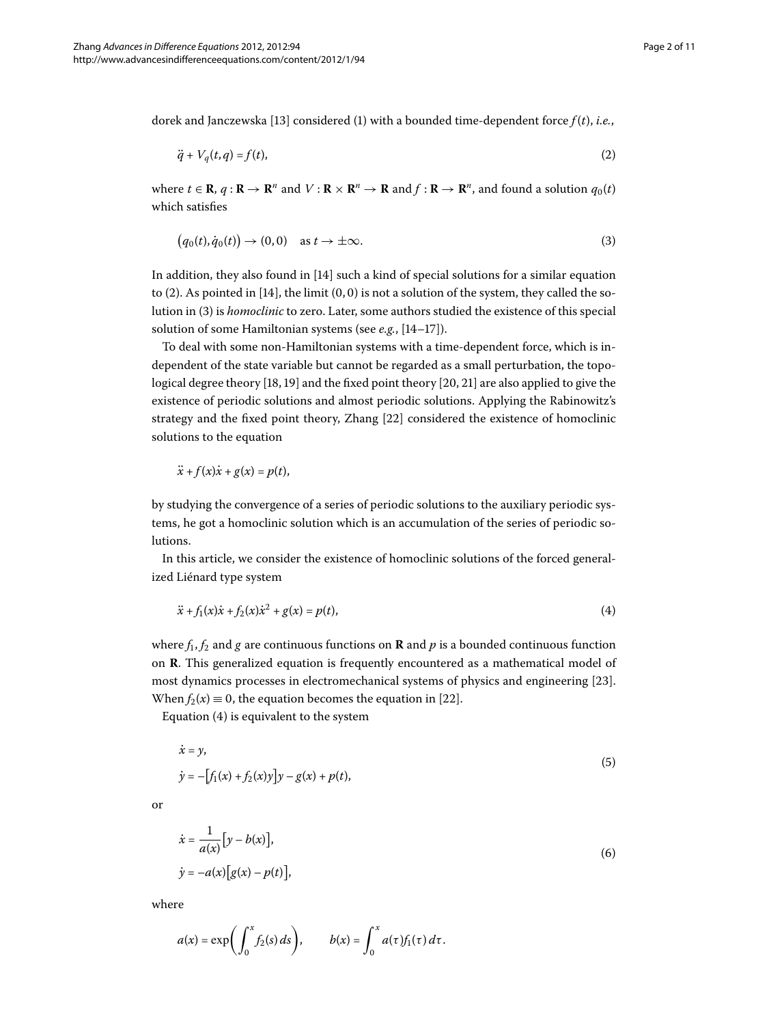dorek and Janczewska [13] considered [\(](#page-0-1)1) with a bounded time-dependent force  $f(t)$ , *i.e.*,

<span id="page-1-1"></span><span id="page-1-0"></span>
$$
\ddot{q} + V_q(t,q) = f(t),\tag{2}
$$

where  $t \in \mathbb{R}$ ,  $q: \mathbb{R} \to \mathbb{R}^n$  and  $V: \mathbb{R} \times \mathbb{R}^n \to \mathbb{R}$  and  $f: \mathbb{R} \to \mathbb{R}^n$ , and found a solution  $q_0(t)$ which satisfies

$$
(q_0(t), \dot{q}_0(t)) \to (0, 0) \quad \text{as } t \to \pm \infty.
$$

In addition, they also found in [\[](#page-10-10)14] such a kind of special solutions for a similar equation to [\(](#page-1-0)2). As pointed in  $[14]$  $[14]$ , the limit  $(0, 0)$  is not a solution of the system, they called the so-lution in [\(](#page-1-1)3) is *homoclinic* to zero. Later, some authors studied the existence of this special solution of some Hamiltonian systems (see *e.g.*, [\[](#page-10-10)14-17]).

To deal with some non-Hamiltonian systems with a time-dependent force, which is independent of the state variable but cannot be regarded as a small perturbation, the topological degree theory  $[18, 19]$  $[18, 19]$  $[18, 19]$  $[18, 19]$  and the fixed point theory  $[20, 21]$  are also applied to give the existence of periodic solutions and almost periodic solutions. Applying the Rabinowitz's strategy and the fixed point theory, Zhang [\[](#page-10-16)22] considered the existence of homoclinic solutions to the equation

<span id="page-1-2"></span>
$$
\ddot{x}+f(x)\dot{x}+g(x)=p(t),
$$

by studying the convergence of a series of periodic solutions to the auxiliary periodic systems, he got a homoclinic solution which is an accumulation of the series of periodic solutions.

In this article, we consider the existence of homoclinic solutions of the forced generalized Liénard type system

<span id="page-1-3"></span>
$$
\ddot{x} + f_1(x)\dot{x} + f_2(x)\dot{x}^2 + g(x) = p(t),\tag{4}
$$

where  $f_1, f_2$  and  $g$  are continuous functions on **R** and  $p$  is a bounded continuous function on **R**. This generalized equation is frequently encountered as a mathematical model of most dynamics processes in electromechanical systems of physics and engineering [23[\]](#page-10-17). When  $f_2(x) \equiv 0$ , the equation becomes the equation in [\[](#page-10-16)22].

Equation  $(4)$  is equivalent to the system

$$
\begin{aligned} \dot{x} &= y, \\ \dot{y} &= -\left[f_1(x) + f_2(x)y\right]y - g(x) + p(t), \end{aligned} \tag{5}
$$

or

$$
\begin{aligned} \dot{x} &= \frac{1}{a(x)} \left[ y - b(x) \right], \\ \dot{y} &= -a(x) \left[ g(x) - p(t) \right], \end{aligned} \tag{6}
$$

where

$$
a(x) = \exp\biggl(\int_0^x f_2(s) \, ds\biggr), \qquad b(x) = \int_0^x a(\tau) f_1(\tau) \, d\tau.
$$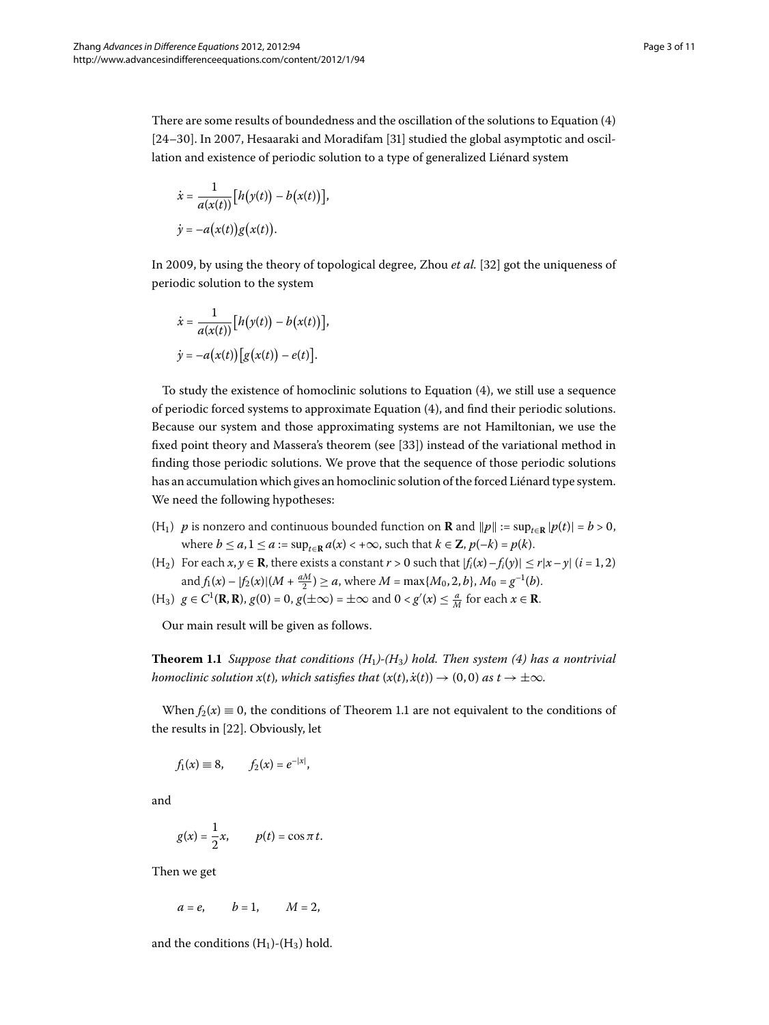There are some results of boundedness and the oscillation of the solutions to Equation  $(4)$  $[24–30]$  $[24–30]$  $[24–30]$ . In 2007, Hesaaraki and Moradifam  $[31]$  $[31]$  studied the global asymptotic and oscillation and existence of periodic solution to a type of generalized Liénard system

$$
\dot{x} = \frac{1}{a(x(t))} [h(y(t)) - b(x(t))],
$$
  

$$
\dot{y} = -a(x(t))g(x(t)).
$$

In 2009, by using the theory of topological degree, Zhou *et al.* [32[\]](#page-10-21) got the uniqueness of periodic solution to the system

$$
\dot{x} = \frac{1}{a(x(t))} [h(y(t)) - b(x(t))],
$$
  

$$
\dot{y} = -a(x(t)) [g(x(t)) - e(t)].
$$

To study the existence of homoclinic solutions to Equation  $(4)$  $(4)$ , we still use a sequence of periodic forced systems to approximate Equation (4), and find their periodic solutions. Because our system and those approximating systems are not Hamiltonian, we use the fixed point theory and Massera's theorem (see [33[\]](#page-10-22)) instead of the variational method in finding those periodic solutions. We prove that the sequence of those periodic solutions has an accumulation which gives an homoclinic solution of the forced Liénard type system. We need the following hypotheses:

- <span id="page-2-0"></span>(H<sub>1</sub>) *p* is nonzero and continuous bounded function on **R** and  $||p|| := \sup_{t \in \mathbb{R}} |p(t)| = b > 0$ , where  $b \le a, 1 \le a := \sup_{t \in \mathbb{R}} a(x) < +\infty$ , such that  $k \in \mathbb{Z}, p(-k) = p(k)$ .
- (H<sub>2</sub>) For each  $x, y \in \mathbb{R}$ , there exists a constant  $r > 0$  such that  $|f_i(x) f_i(y)| \le r|x y|$  (*i* = 1, 2) and  $f_1(x) - |f_2(x)| (M + \frac{aM}{2}) \ge a$ , where  $M = \max\{M_0, 2, b\}$ ,  $M_0 = g^{-1}(b)$ .
- $(H_3)$  *g* ∈ *C*<sup>1</sup>(**R**, **R**), *g*(0) = 0, *g*(±∞) = ±∞ and 0 < *g'*(*x*) ≤  $\frac{a}{M}$  for each *x* ∈ **R**.

Our main result will be given as follows.

**Theorem 1.1** Suppose that conditions  $(H_1)$ - $(H_3)$  hold. Then system (4) has a nontrivial *homoclinic solution x(t), which satisfies that*  $(x(t), \dot{x}(t)) \rightarrow (0, 0)$  *as*  $t \rightarrow \pm \infty$ *.* 

When  $f_2(x) \equiv 0$ , the conditions of Theorem 1[.](#page-2-0)1 are not equivalent to the conditions of the results in [22[\]](#page-10-16). Obviously, let

$$
f_1(x) \equiv 8
$$
,  $f_2(x) = e^{-|x|}$ ,

and

$$
g(x) = \frac{1}{2}x, \qquad p(t) = \cos \pi t.
$$

Then we get

$$
a=e, \qquad b=1, \qquad M=2,
$$

and the conditions  $(H_1)$ - $(H_3)$  hold.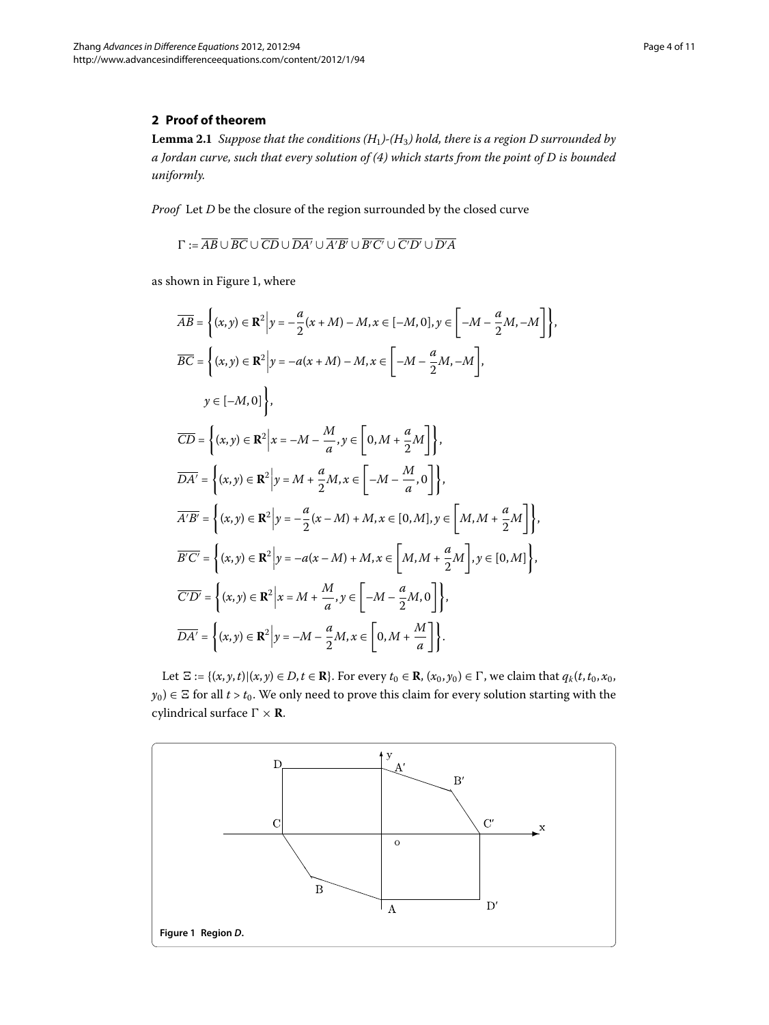## <span id="page-3-1"></span>**2 Proof of theorem**

**Lemma 2.1** Suppose that the conditions  $(H_1)$ - $(H_3)$  hold, there is a region D surrounded by *a Jordan curve, such that every solution of () which starts from the point of D is bounded uniformly.*

*Proof* Let *D* be the closure of the region surrounded by the closed curve

 $\Gamma := AB \cup BC \cup CD \cup DA' \cup A'B' \cup B'C' \cup C'D' \cup D'A$ 

as shown in Figure 1[,](#page-3-0) where

$$
\overline{AB} = \left\{ (x, y) \in \mathbb{R}^2 \middle| y = -\frac{a}{2}(x + M) - M, x \in [-M, 0], y \in [-M - \frac{a}{2}M, -M] \right\},\
$$
  
\n
$$
\overline{BC} = \left\{ (x, y) \in \mathbb{R}^2 \middle| y = -a(x + M) - M, x \in [-M - \frac{a}{2}M, -M] \right\},\
$$
  
\n
$$
y \in [-M, 0] \right\},\
$$
  
\n
$$
\overline{CD} = \left\{ (x, y) \in \mathbb{R}^2 \middle| x = -M - \frac{M}{a}, y \in [0, M + \frac{a}{2}M] \right\},\
$$
  
\n
$$
\overline{DA'} = \left\{ (x, y) \in \mathbb{R}^2 \middle| y = M + \frac{a}{2}M, x \in [-M - \frac{M}{a}, 0] \right\},\
$$
  
\n
$$
\overline{A'B'} = \left\{ (x, y) \in \mathbb{R}^2 \middle| y = -\frac{a}{2}(x - M) + M, x \in [0, M], y \in [M, M + \frac{a}{2}M] \right\},\
$$
  
\n
$$
\overline{BC'} = \left\{ (x, y) \in \mathbb{R}^2 \middle| y = -a(x - M) + M, x \in [M, M + \frac{a}{2}M], y \in [0, M] \right\},\
$$
  
\n
$$
\overline{CD'} = \left\{ (x, y) \in \mathbb{R}^2 \middle| x = M + \frac{M}{a}, y \in [-M - \frac{a}{2}M, 0] \right\},\
$$
  
\n
$$
\overline{DA'} = \left\{ (x, y) \in \mathbb{R}^2 \middle| y = -M - \frac{a}{2}M, x \in [0, M + \frac{M}{a}] \right\}.
$$

Let  $\Xi := \{(x, y, t) | (x, y) \in D, t \in \mathbb{R} \}$ . For every  $t_0 \in \mathbb{R}$ ,  $(x_0, y_0) \in \Gamma$ , we claim that  $q_k(t, t_0, x_0, t_0)$  $y_0$ )  $\in$   $\Xi$  for all *t* > *t*<sub>0</sub>. We only need to prove this claim for every solution starting with the cylindrical surface  $\Gamma \times \mathbf{R}$ .

<span id="page-3-0"></span>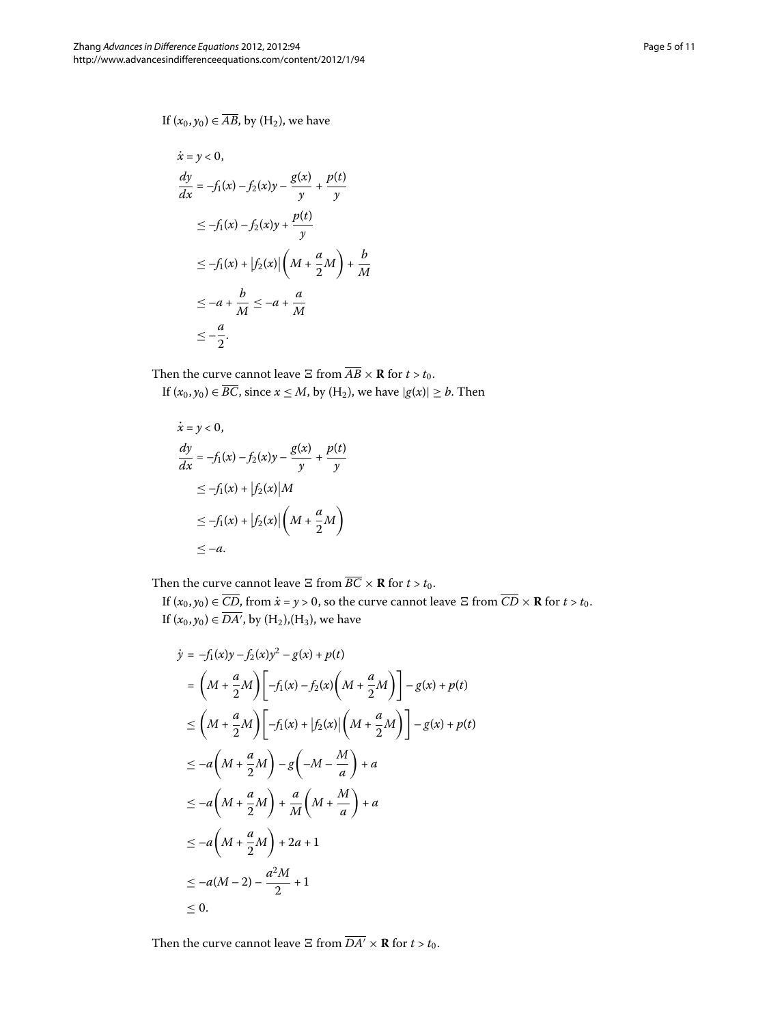$$
\dot{x} = y < 0,
$$
\n
$$
\frac{dy}{dx} = -f_1(x) - f_2(x)y - \frac{g(x)}{y} + \frac{p(t)}{y}
$$
\n
$$
\leq -f_1(x) - f_2(x)y + \frac{p(t)}{y}
$$
\n
$$
\leq -f_1(x) + |f_2(x)| \left(M + \frac{a}{2}M\right) + \frac{b}{M}
$$
\n
$$
\leq -a + \frac{b}{M} \leq -a + \frac{a}{M}
$$
\n
$$
\leq -\frac{a}{2}.
$$

Then the curve cannot leave  $\Xi$  from  $\overline{AB} \times \mathbf{R}$  for  $t > t_0$ .

If  $(x_0, y_0) \in \overline{BC}$ , since  $x \le M$ , by  $(H_2)$ , we have  $|g(x)| \ge b$ . Then

$$
\dot{x} = y < 0,
$$
\n
$$
\frac{dy}{dx} = -f_1(x) - f_2(x)y - \frac{g(x)}{y} + \frac{p(t)}{y}
$$
\n
$$
\leq -f_1(x) + |f_2(x)|M
$$
\n
$$
\leq -f_1(x) + |f_2(x)| \left(M + \frac{a}{2}M\right)
$$
\n
$$
\leq -a.
$$

Then the curve cannot leave  $\Xi$  from  $\overline{BC} \times \mathbf{R}$  for  $t > t_0$ .

If  $(x_0, y_0) \in \overline{CD}$ , from  $\dot{x} = y > 0$ , so the curve cannot leave  $\Xi$  from  $\overline{CD} \times \mathbb{R}$  for  $t > t_0$ . If  $(x_0, y_0) \in DA'$ , by  $(H_2)$ , $(H_3)$ , we have

$$
\begin{split}\n\dot{y} &= -f_1(x)y - f_2(x)y^2 - g(x) + p(t) \\
&= \left(M + \frac{a}{2}M\right) \left[-f_1(x) - f_2(x)\left(M + \frac{a}{2}M\right)\right] - g(x) + p(t) \\
&\le \left(M + \frac{a}{2}M\right) \left[-f_1(x) + |f_2(x)|\left(M + \frac{a}{2}M\right)\right] - g(x) + p(t) \\
&\le -a\left(M + \frac{a}{2}M\right) - g\left(-M - \frac{M}{a}\right) + a \\
&\le -a\left(M + \frac{a}{2}M\right) + \frac{a}{M}\left(M + \frac{M}{a}\right) + a \\
&\le -a\left(M + \frac{a}{2}M\right) + 2a + 1 \\
&\le -a(M - 2) - \frac{a^2M}{2} + 1 \\
&\le 0.\n\end{split}
$$

Then the curve cannot leave  $\Xi$  from  $\overline{DA'} \times \mathbf{R}$  for  $t > t_0$ .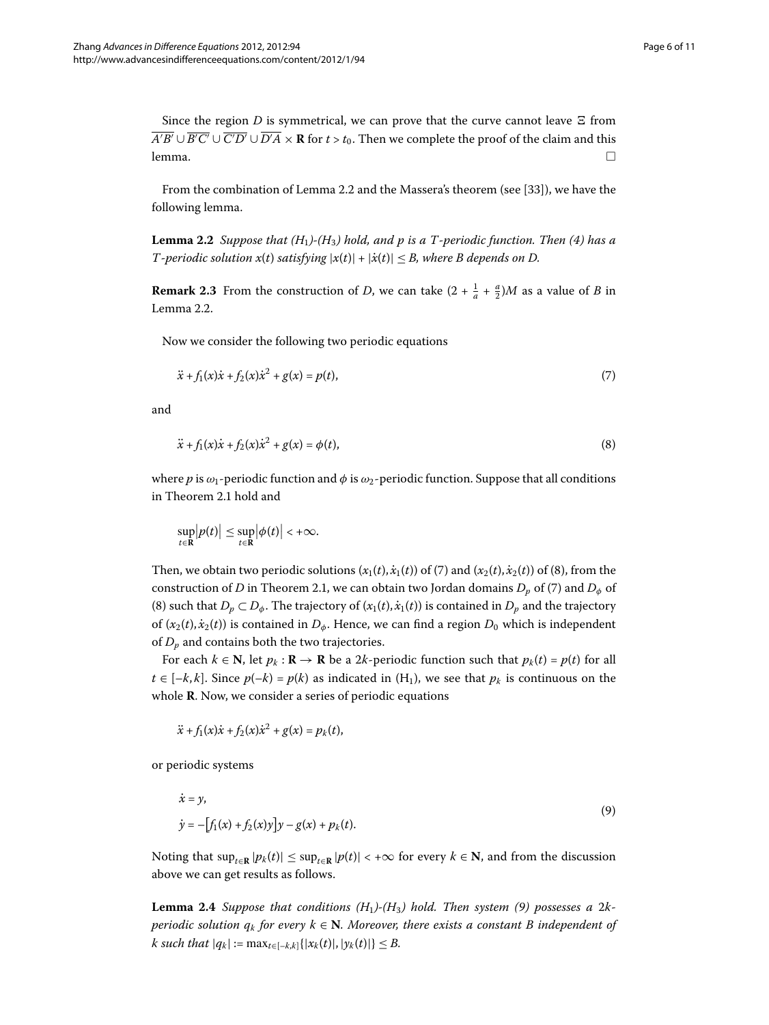<span id="page-5-0"></span>Since the region *D* is symmetrical, we can prove that the curve cannot leave  $\Xi$  from *A*′*B'* ∪ *B'*  $C'$  ∪  $C'D'$  ∪  $D'A \times \mathbf{R}$  for  $t > t_0$ . Then we complete the proof of the claim and this  $l$ emma.  $\Box$ 

From the combination of Lemma 2[.](#page-5-0)2 and the Massera's theorem (see [33[\]](#page-10-22)), we have the following lemma.

**Lemma 2.2** Suppose that  $(H_1)$ - $(H_3)$  hold, and p is a T-periodic function. Then (4) has a *T*-periodic solution  $x(t)$  satisfying  $|x(t)| + |\dot{x}(t)| \leq B$ , where B depends on D.

**Remark 2.3** From the construction of *D*, we can take  $(2 + \frac{1}{a} + \frac{a}{2})M$  as a value of *B* in Lemma  $2.2$ .

Now we consider the following two periodic equations

<span id="page-5-2"></span><span id="page-5-1"></span>
$$
\ddot{x} + f_1(x)\dot{x} + f_2(x)\dot{x}^2 + g(x) = p(t),\tag{7}
$$

and

$$
\ddot{x} + f_1(x)\dot{x} + f_2(x)\dot{x}^2 + g(x) = \phi(t),
$$
\n(8)

where *p* is *ω*-periodic function and *φ* is *ω*-periodic function. Suppose that all conditions in Theorem 2[.](#page-3-1)1 hold and

$$
\sup_{t\in\mathbf{R}}\big|p(t)\big|\leq \sup_{t\in\mathbf{R}}\big|\phi(t)\big|<+\infty.
$$

Then, we obtain two periodic solutions  $(x_1(t), \dot{x}_1(t))$  $(x_1(t), \dot{x}_1(t))$  $(x_1(t), \dot{x}_1(t))$  $(x_1(t), \dot{x}_1(t))$  of (7) and  $(x_2(t), \dot{x}_2(t))$  of (8), from the construction of *D* in Theorem 2[.](#page-3-1)1, we can obtain two Jordan domains  $D_p$  of [\(](#page-5-1)7) and  $D_\phi$  of (8[\)](#page-5-2) such that  $D_p \subset D_\phi$ . The trajectory of  $(x_1(t), \dot{x}_1(t))$  is contained in  $D_p$  and the trajectory of  $(x_2(t), \dot{x}_2(t))$  is contained in  $D_{\phi}$ . Hence, we can find a region  $D_0$  which is independent of *Dp* and contains both the two trajectories.

For each  $k \in \mathbb{N}$ , let  $p_k : \mathbb{R} \to \mathbb{R}$  be a 2k-periodic function such that  $p_k(t) = p(t)$  for all  $t \in [-k, k]$ . Since  $p(-k) = p(k)$  as indicated in  $(H_1)$ , we see that  $p_k$  is continuous on the whole **R**. Now, we consider a series of periodic equations

<span id="page-5-3"></span> $\ddot{x} + f_1(x)\dot{x} + f_2(x)\dot{x}^2 + g(x) = p_k(t),$ 

<span id="page-5-4"></span>or periodic systems

$$
\dot{x} = y,
$$
  
\n
$$
\dot{y} = -[f_1(x) + f_2(x)y]y - g(x) + p_k(t).
$$
\n(9)

Noting that  $\sup_{t \in \mathbb{R}} |p_k(t)| \leq \sup_{t \in \mathbb{R}} |p(t)| < +\infty$  for every *k* ∈ **N**, and from the discussion above we can get results as follows.

**Lemma 2.4** Suppose that conditions  $(H_1)$ - $(H_3)$  hold. Then system (9) possesses a 2k*periodic solution*  $q_k$  *for every*  $k \in \mathbb{N}$ *. Moreover, there exists a constant B independent of k* such that  $|q_k| := \max_{t \in [-k,k]} \{|x_k(t)|, |y_k(t)|\} \le B$ .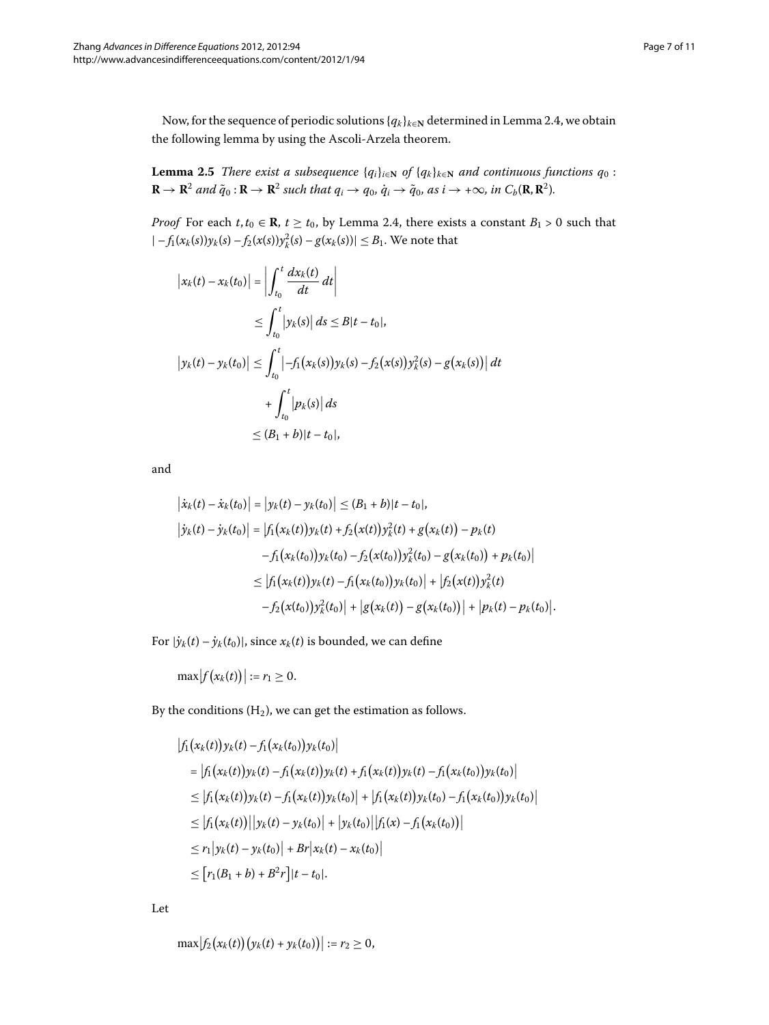<span id="page-6-0"></span>Now, for the sequence of periodic solutions  ${q_k}_{k \in \mathbb{N}}$  determined in Lemma 2[.](#page-5-4)4, we obtain the following lemma by using the Ascoli-Arzela theorem.

**Lemma 2.5** *There exist a subsequence*  $\{q_i\}_{i\in\mathbb{N}}$  *of*  $\{q_k\}_{k\in\mathbb{N}}$  *and continuous functions*  $q_0$ :  $\mathbf{R} \to \mathbf{R}^2$  and  $\tilde{q}_0 : \mathbf{R} \to \mathbf{R}^2$  such that  $q_i \to q_0$ ,  $\dot{q}_i \to \tilde{q}_0$ , as  $i \to +\infty$ , in  $C_b(\mathbf{R}, \mathbf{R}^2)$ .

*Proof* For each  $t, t_0 \in \mathbf{R}$ ,  $t \geq t_0$ , by Lemma 2[.](#page-5-4)4, there exists a constant  $B_1 > 0$  such that  $|-f_1(x_k(s))y_k(s) - f_2(x(s))y_k^2(s) - g(x_k(s))| \leq B_1$ . We note that

$$
\begin{aligned} \left| x_k(t) - x_k(t_0) \right| &= \left| \int_{t_0}^t \frac{dx_k(t)}{dt} \, dt \right| \\ &\le \int_{t_0}^t \left| y_k(s) \right| \, ds \le B |t - t_0|, \\ \left| y_k(t) - y_k(t_0) \right| &\le \int_{t_0}^t \left| -f_1(x_k(s)) y_k(s) - f_2(x(s)) y_k^2(s) - g(x_k(s)) \right| \, dt \\ &\quad + \int_{t_0}^t \left| p_k(s) \right| \, ds \\ &\le (B_1 + b) |t - t_0|, \end{aligned}
$$

and

$$
\begin{aligned} \left| \dot{x}_{k}(t) - \dot{x}_{k}(t_{0}) \right| &= \left| y_{k}(t) - y_{k}(t_{0}) \right| \leq (B_{1} + b)|t - t_{0}|, \\ \left| \dot{y}_{k}(t) - \dot{y}_{k}(t_{0}) \right| &= \left| f_{1}\big(x_{k}(t)\big)y_{k}(t) + f_{2}\big(x(t)\big)y_{k}^{2}(t) + g\big(x_{k}(t)\big) - p_{k}(t) \right| \\ &\quad - f_{1}\big(x_{k}(t_{0})\big)y_{k}(t_{0}) - f_{2}\big(x(t_{0})\big)y_{k}^{2}(t_{0}) - g\big(x_{k}(t_{0})\big) + p_{k}(t_{0}) \right| \\ &\leq \left| f_{1}\big(x_{k}(t)\big)y_{k}(t) - f_{1}\big(x_{k}(t_{0})\big)y_{k}(t_{0}) \right| + \left| f_{2}\big(x(t)\big)y_{k}^{2}(t) \right| \\ &\quad - f_{2}\big(x(t_{0})\big)y_{k}^{2}(t_{0}) \right| + \left| g\big(x_{k}(t)\big) - g\big(x_{k}(t_{0})\big) \right| + \left| p_{k}(t) - p_{k}(t_{0}) \right| . \end{aligned}
$$

For  $|\dot{y}_k(t) - \dot{y}_k(t_0)|$ , since  $x_k(t)$  is bounded, we can define

 $\max |f(x_k(t))| := r_1 \ge 0.$ 

By the conditions  $(H_2)$ , we can get the estimation as follows.

$$
|f_1(x_k(t))y_k(t) - f_1(x_k(t_0))y_k(t_0)|
$$
  
\n
$$
= |f_1(x_k(t))y_k(t) - f_1(x_k(t))y_k(t) + f_1(x_k(t))y_k(t) - f_1(x_k(t_0))y_k(t_0)|
$$
  
\n
$$
\leq |f_1(x_k(t))y_k(t) - f_1(x_k(t))y_k(t_0)| + |f_1(x_k(t))y_k(t_0) - f_1(x_k(t_0))y_k(t_0)|
$$
  
\n
$$
\leq |f_1(x_k(t))||y_k(t) - y_k(t_0)| + |y_k(t_0)||f_1(x) - f_1(x_k(t_0))|
$$
  
\n
$$
\leq r_1|y_k(t) - y_k(t_0)| + Br|x_k(t) - x_k(t_0)|
$$
  
\n
$$
\leq [r_1(B_1 + b) + B^2r]|t - t_0|.
$$

Let

$$
\max |f_2(x_k(t)) (y_k(t) + y_k(t_0))| := r_2 \geq 0,
$$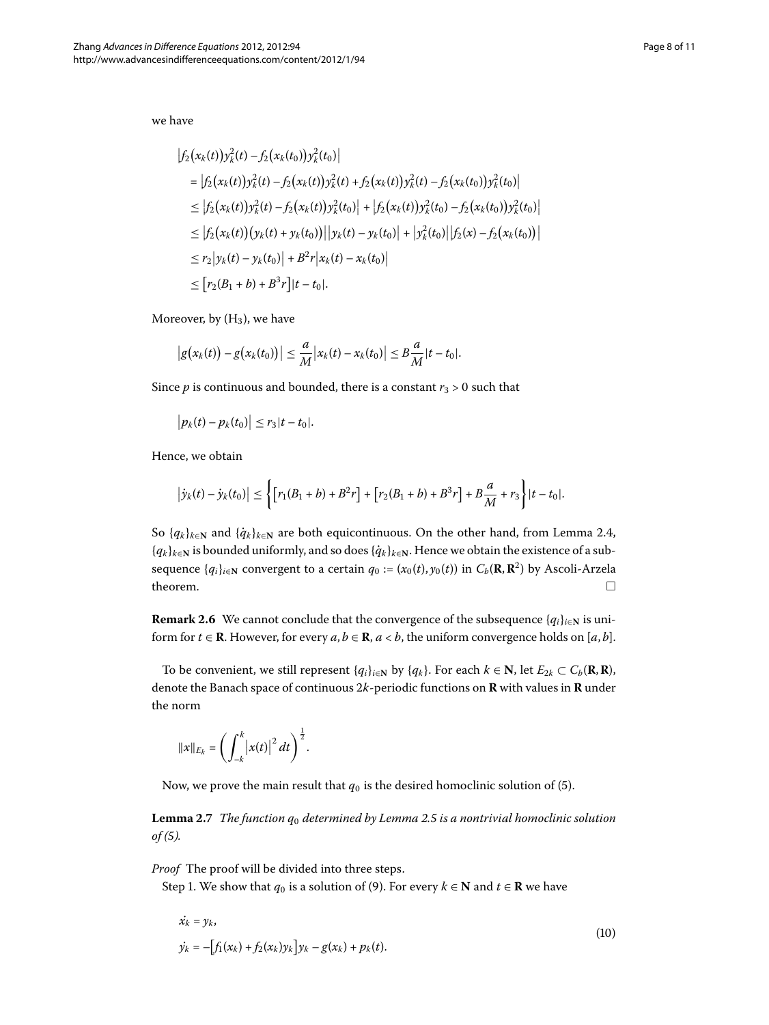we have

$$
\begin{split} \left|f_{2}\big(x_{k}(t)\big)y_{k}^{2}(t)-f_{2}\big(x_{k}(t_{0})\big)y_{k}^{2}(t_{0})\right| \\ & =\left|f_{2}\big(x_{k}(t)\big)y_{k}^{2}(t)-f_{2}\big(x_{k}(t)\big)y_{k}^{2}(t)+f_{2}\big(x_{k}(t)\big)y_{k}^{2}(t)-f_{2}\big(x_{k}(t_{0})\big)y_{k}^{2}(t_{0})\right| \\ & \leq\left|f_{2}\big(x_{k}(t)\big)y_{k}^{2}(t)-f_{2}\big(x_{k}(t)\big)y_{k}^{2}(t_{0})\right|+\left|f_{2}\big(x_{k}(t)\big)y_{k}^{2}(t_{0})-f_{2}\big(x_{k}(t_{0})\big)y_{k}^{2}(t_{0})\right| \\ & \leq\left|f_{2}\big(x_{k}(t)\big)\big(y_{k}(t)+y_{k}(t_{0})\big)\right|\left|y_{k}(t)-y_{k}(t_{0})\right|+\left|y_{k}^{2}(t_{0})\right|\left|f_{2}(x)-f_{2}\big(x_{k}(t_{0})\big)\right| \\ & \leq r_{2}\left|y_{k}(t)-y_{k}(t_{0})\right|+B^{2}r\left|x_{k}(t)-x_{k}(t_{0})\right| \\ & \leq\left[r_{2}(B_{1}+b)+B^{3}r\right]|t-t_{0}|. \end{split}
$$

Moreover, by  $(H_3)$ , we have

$$
|g(x_k(t)) - g(x_k(t_0))| \leq \frac{a}{M} |x_k(t) - x_k(t_0)| \leq B \frac{a}{M} |t - t_0|.
$$

Since *p* is continuous and bounded, there is a constant  $r_3 > 0$  such that

$$
|p_k(t)-p_k(t_0)|\leq r_3|t-t_0|.
$$

Hence, we obtain

$$
\left|\dot{y}_k(t) - \dot{y}_k(t_0)\right| \leq \left\{ \left[r_1(B_1 + b) + B^2r\right] + \left[r_2(B_1 + b) + B^3r\right] + B\frac{a}{M} + r_3\right\} |t - t_0|.
$$

So  $\{q_k\}_{k\in\mathbb{N}}$  and  $\{\dot{q}_k\}_{k\in\mathbb{N}}$  are both equicontinuous. On the other hand, from Lemma 2.4, {*qk*}*<sup>k</sup>*∈**<sup>N</sup>** is bounded uniformly, and so does{*q*˙ *<sup>k</sup>* }*<sup>k</sup>*∈**<sup>N</sup>**. Hence we obtain the existence of a subsequence  $\{q_i\}_{i\in\mathbb{N}}$  convergent to a certain  $q_0 := (x_0(t), y_0(t))$  in  $C_b(\mathbf{R}, \mathbf{R}^2)$  by Ascoli-Arzela theorem.  $\Box$ 

**Remark 2.6** We cannot conclude that the convergence of the subsequence  ${q_i}_{i \in \mathbb{N}}$  is uniform for  $t \in \mathbb{R}$ . However, for every  $a, b \in \mathbb{R}$ ,  $a < b$ , the uniform convergence holds on  $[a, b]$ .

<span id="page-7-1"></span>To be convenient, we still represent  $\{q_i\}_{i\in\mathbb{N}}$  by  $\{q_k\}$ . For each  $k \in \mathbb{N}$ , let  $E_{2k} \subset C_b(\mathbb{R}, \mathbb{R})$ , denote the Banach space of continuous *k*-periodic functions on **R** with values in **R** under the norm

<span id="page-7-0"></span>
$$
||x||_{E_k} = \left(\int_{-k}^k |x(t)|^2 dt\right)^{\frac{1}{2}}
$$
.

Now, we prove the main result that  $q_0$  is the desired homoclinic solution of [\(](#page-1-3)5).

**Lemma 2[.](#page-6-0)7** The function  $q_0$  determined by Lemma 2.5 is a nontrivial homoclinic solution  $of (5)$  $of (5)$  $of (5)$ .

*Proof* The proof will be divided into three steps.

Step 1. We show that  $q_0$  is a solution of (9[\)](#page-5-3). For every  $k \in \mathbb{N}$  and  $t \in \mathbb{R}$  we have

$$
\dot{x}_k = y_k, \n\dot{y}_k = -[f_1(x_k) + f_2(x_k)y_k]y_k - g(x_k) + p_k(t).
$$
\n(10)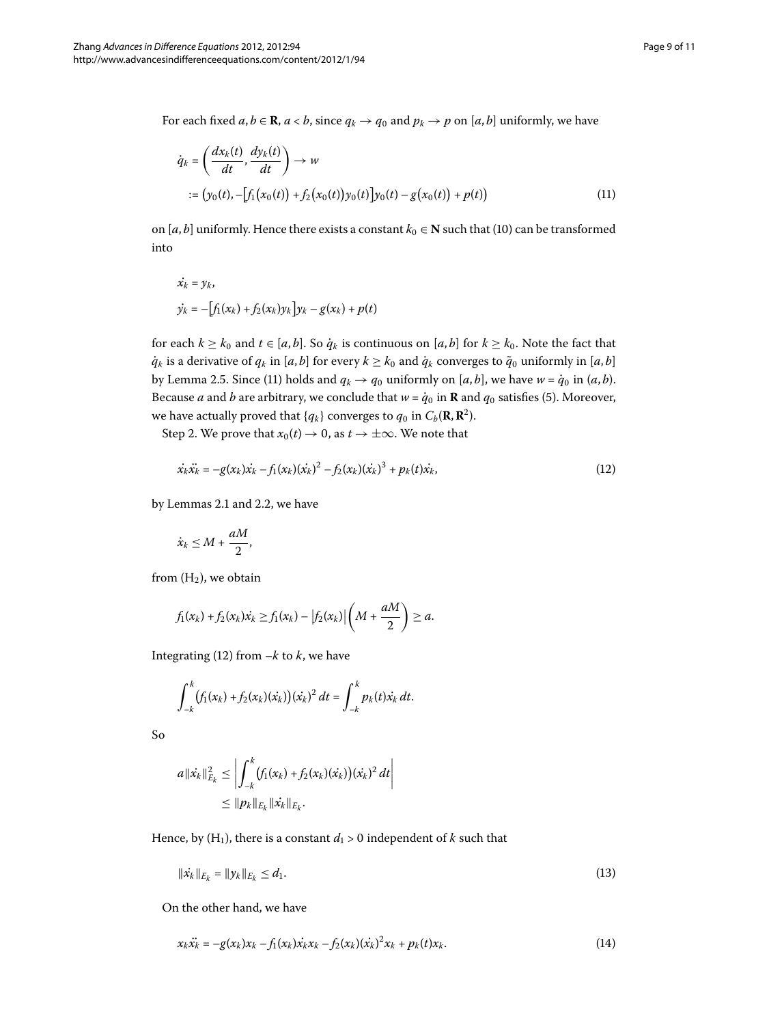For each fixed  $a, b \in \mathbb{R}$ ,  $a < b$ , since  $q_k \to q_0$  and  $p_k \to p$  on [ $a, b$ ] uniformly, we have

<span id="page-8-0"></span>
$$
\dot{q}_k = \left(\frac{dx_k(t)}{dt}, \frac{dy_k(t)}{dt}\right) \to w
$$
  
 :=  $(y_0(t), -[f_1(x_0(t)) + f_2(x_0(t))y_0(t)]y_0(t) - g(x_0(t)) + p(t))$  (11)

on [ $a$ ,  $b$ ] uniformly. Hence there exists a constant  $k_0 \in \mathbb{N}$  such that (10) can be transformed into

<span id="page-8-1"></span>
$$
\dot{x_k} = y_k, \n\dot{y_k} = -[f_1(x_k) + f_2(x_k)y_k]y_k - g(x_k) + p(t)
$$

for each  $k \geq k_0$  and  $t \in [a, b]$ . So  $\dot{q}_k$  is continuous on  $[a, b]$  for  $k \geq k_0$ . Note the fact that  $\dot{q}_k$  is a derivative of  $q_k$  in [*a*, *b*] for every  $k \geq k_0$  and  $\dot{q}_k$  converges to  $\tilde{q}_0$  uniformly in [*a*, *b*] by Lemma 2[.](#page-6-0)5. Since (11) holds and  $q_k \rightarrow q_0$  uniformly on [*a*, *b*], we have  $w = \dot{q}_0$  in (*a*, *b*). Because *a* and *b* are arbitrary, we conclude that  $w = \dot{q}_0$  in **R** and  $q_0$  satisfies (5[\)](#page-1-3). Moreover, we have actually proved that  ${q_k}$  converges to  $q_0$  in  $C_b(\mathbf{R}, \mathbf{R}^2)$ .

Step 2. We prove that  $x_0(t) \to 0$ , as  $t \to \pm \infty$ . We note that

$$
\dot{x_k}\ddot{x_k} = -g(x_k)\dot{x_k} - f_1(x_k)(\dot{x_k})^2 - f_2(x_k)(\dot{x_k})^3 + p_k(t)\dot{x_k},
$$
\n(12)

by Lemmas 2[.](#page-3-1)1 and 2.2, we have

$$
\dot{x}_k \leq M + \frac{aM}{2},
$$

from  $(H_2)$ , we obtain

$$
f_1(x_k) + f_2(x_k)\dot{x_k} \ge f_1(x_k) - |f_2(x_k)|\left(M + \frac{aM}{2}\right) \ge a.
$$

Integrating [\(](#page-8-1)12) from  $-k$  to  $k$ , we have

$$
\int_{-k}^{k} (f_1(x_k) + f_2(x_k)(\dot{x}_k)) (\dot{x}_k)^2 dt = \int_{-k}^{k} p_k(t) \dot{x}_k dt.
$$

So

$$
a\|\dot{x_k}\|_{E_k}^2 \le \left|\int_{-k}^k (f_1(x_k) + f_2(x_k)(\dot{x}_k))( \dot{x}_k)^2 dt\right|
$$
  
 
$$
\le \|p_k\|_{E_k} \|\dot{x}_k\|_{E_k}.
$$

Hence, by  $(H_1)$ , there is a constant  $d_1 > 0$  independent of  $k$  such that

<span id="page-8-2"></span>
$$
\|x_k\|_{E_k} = \|y_k\|_{E_k} \le d_1. \tag{13}
$$

On the other hand, we have

$$
x_k \ddot{x_k} = -g(x_k)x_k - f_1(x_k)\dot{x_k}x_k - f_2(x_k)(\dot{x_k})^2 x_k + p_k(t)x_k.
$$
 (14)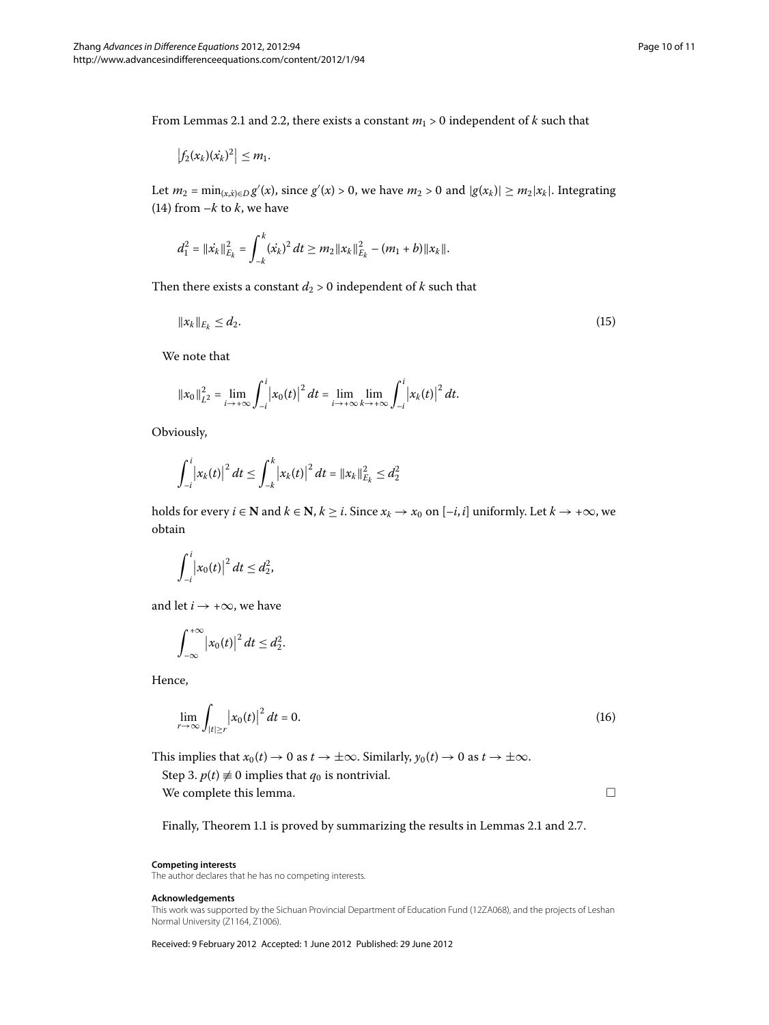From Lemmas 2[.](#page-5-0)1 and 2.2, there exists a constant  $m_1 > 0$  independent of *k* such that

$$
\left|f_2(x_k)(x_k)^2\right|\leq m_1.
$$

Let  $m_2 = \min_{(x, \dot{x}) \in D} g'(x)$ , since  $g'(x) > 0$ , we have  $m_2 > 0$  and  $|g(x_k)| \ge m_2 |x_k|$ . Integrating (14[\)](#page-8-2) from  $-k$  to  $k$ , we have

$$
d_1^2 = ||\dot{x_k}||_{E_k}^2 = \int_{-k}^k (\dot{x_k})^2 dt \geq m_2 ||x_k||_{E_k}^2 - (m_1 + b)||x_k||.
$$

Then there exists a constant  $d_2 > 0$  independent of  $k$  such that

$$
||x_k||_{E_k} \le d_2. \tag{15}
$$

We note that

$$
||x_0||_{L^2}^2 = \lim_{i \to +\infty} \int_{-i}^{i} |x_0(t)|^2 dt = \lim_{i \to +\infty} \lim_{k \to +\infty} \int_{-i}^{i} |x_k(t)|^2 dt.
$$

Obviously,

$$
\int_{-i}^{i} |x_k(t)|^2 dt \leq \int_{-k}^{k} |x_k(t)|^2 dt = ||x_k||_{E_k}^2 \leq d_2^2
$$

holds for every *i* ∈ **N** and *k* ∈ **N**, *k* ≥ *i*. Since  $x_k \to x_0$  on [-*i*, *i*] uniformly. Let *k* → +∞, we obtain

$$
\int_{-i}^{i} |x_0(t)|^2 dt \leq d_2^2,
$$

and let  $i \rightarrow +\infty$ , we have

$$
\int_{-\infty}^{+\infty} |x_0(t)|^2 dt \leq d_2^2.
$$

Hence,

$$
\lim_{r \to \infty} \int_{|t| \ge r} |x_0(t)|^2 dt = 0. \tag{16}
$$

This implies that  $x_0(t) \to 0$  as  $t \to \pm \infty$ . Similarly,  $y_0(t) \to 0$  as  $t \to \pm \infty$ .

Step 3.  $p(t) \neq 0$  implies that  $q_0$  is nontrivial.

We complete this lemma.

 $\Box$ 

Finally, Theorem 1[.](#page-7-1)1 is proved by summarizing the results in Lemmas 2.1 and 2.7.

#### **Competing interests**

The author declares that he has no competing interests.

### **Acknowledgements**

This work was supported by the Sichuan Provincial Department of Education Fund (12ZA068), and the projects of Leshan Normal University (Z1164, Z1006).

Received: 9 February 2012 Accepted: 1 June 2012 Published: 29 June 2012